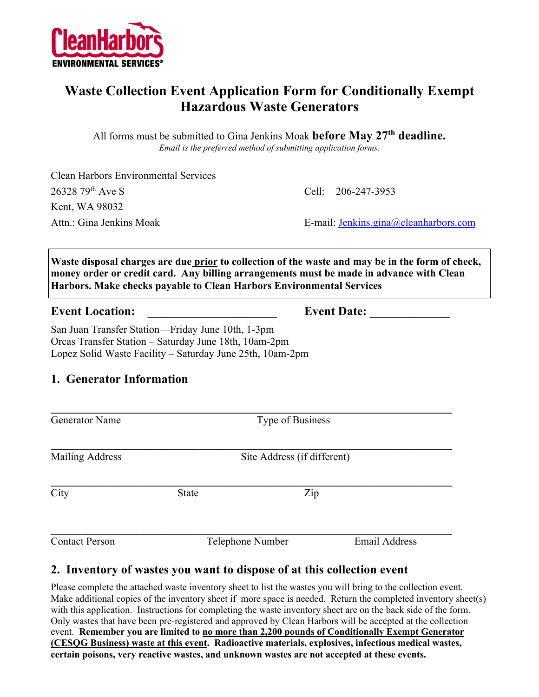

## **Waste Collection Event Application Form for Conditionally Exempt Hazardous Waste Generators**

All forms must be submitted to Gina Jenkins Moak **before May 27th deadline.** *Email is the preferred method of submitting application forms.*

Clean Harbors Environmental Services 26328 79th Ave S Cell: 206-247-3953 Kent, WA 98032 Attn.: Gina Jenkins Moak **E-mail:** Jenkins.gina@cleanharbors.com

**Waste disposal charges are due prior to collection of the waste and may be in the form of check, money order or credit card. Any billing arrangements must be made in advance with Clean Harbors. Make checks payable to Clean Harbors Environmental Services**

#### **Event Location: Event Date:**  $\blacksquare$

San Juan Transfer Station—Friday June 10th, 1-3pm Orcas Transfer Station – Saturday June 18th, 10am-2pm Lopez Solid Waste Facility – Saturday June 25th, 10am-2pm

#### **1. Generator Information**

 $\mathcal{L} = \{ \mathcal{L} \mathcal{L} \mathcal{L} \mathcal{L} \mathcal{L} \mathcal{L} \mathcal{L} \mathcal{L} \mathcal{L} \mathcal{L} \mathcal{L} \mathcal{L} \mathcal{L} \mathcal{L} \mathcal{L} \mathcal{L} \mathcal{L} \mathcal{L} \mathcal{L} \mathcal{L} \mathcal{L} \mathcal{L} \mathcal{L} \mathcal{L} \mathcal{L} \mathcal{L} \mathcal{L} \mathcal{L} \mathcal{L} \mathcal{L} \mathcal{L} \mathcal{L} \mathcal{L} \mathcal{L} \mathcal{L} \$ Generator Name Type of Business **\_\_\_\_\_\_\_\_\_\_\_\_\_\_\_\_\_\_\_\_\_\_\_\_\_\_\_\_\_\_\_\_\_\_\_\_\_\_\_\_\_\_\_\_\_\_\_\_\_\_\_\_\_\_\_\_\_\_\_\_\_\_\_\_\_\_\_\_\_\_\_\_\_\_\_\_** Mailing Address Site Address (if different)  $\mathcal{L} = \{ \mathcal{L} \mathcal{L} \mathcal{L} \mathcal{L} \mathcal{L} \mathcal{L} \mathcal{L} \mathcal{L} \mathcal{L} \mathcal{L} \mathcal{L} \mathcal{L} \mathcal{L} \mathcal{L} \mathcal{L} \mathcal{L} \mathcal{L} \mathcal{L} \mathcal{L} \mathcal{L} \mathcal{L} \mathcal{L} \mathcal{L} \mathcal{L} \mathcal{L} \mathcal{L} \mathcal{L} \mathcal{L} \mathcal{L} \mathcal{L} \mathcal{L} \mathcal{L} \mathcal{L} \mathcal{L} \mathcal{L} \$ City State Zip Contact Person Telephone Number Email Address

#### **2. Inventory of wastes you want to dispose of at this collection event**

Please complete the attached waste inventory sheet to list the wastes you will bring to the collection event. Make additional copies of the inventory sheet if more space is needed. Return the completed inventory sheet(s) with this application. Instructions for completing the waste inventory sheet are on the back side of the form. Only wastes that have been pre-registered and approved by Clean Harbors will be accepted at the collection event. **Remember you are limited to no more than 2,200 pounds of Conditionally Exempt Generator (CESQG Business) waste at this event. Radioactive materials, explosives, infectious medical wastes, certain poisons, very reactive wastes, and unknown wastes are not accepted at these events.**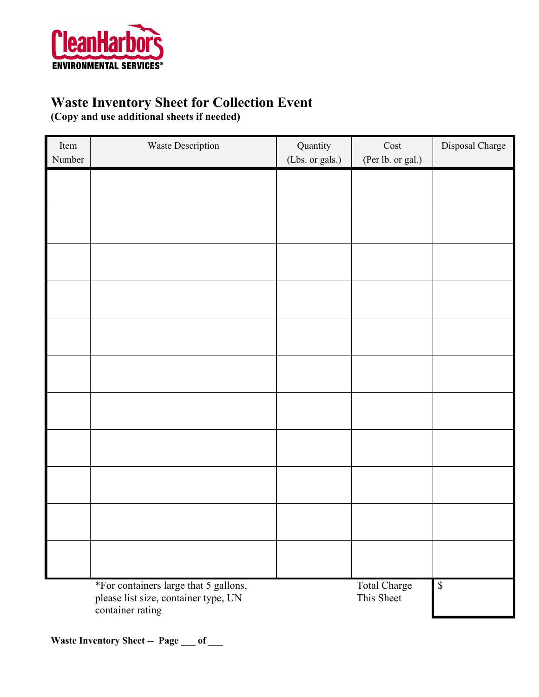

## **Waste Inventory Sheet for Collection Event**

**(Copy and use additional sheets if needed)**

| Item<br>Number | Waste Description                                                                                 | Quantity<br>(Lbs. or gals.) | $\mathop{\rm Cost}$<br>(Per lb. or gal.) | Disposal Charge |
|----------------|---------------------------------------------------------------------------------------------------|-----------------------------|------------------------------------------|-----------------|
|                |                                                                                                   |                             |                                          |                 |
|                |                                                                                                   |                             |                                          |                 |
|                |                                                                                                   |                             |                                          |                 |
|                |                                                                                                   |                             |                                          |                 |
|                |                                                                                                   |                             |                                          |                 |
|                |                                                                                                   |                             |                                          |                 |
|                |                                                                                                   |                             |                                          |                 |
|                |                                                                                                   |                             |                                          |                 |
|                |                                                                                                   |                             |                                          |                 |
|                |                                                                                                   |                             |                                          |                 |
|                |                                                                                                   |                             |                                          |                 |
|                | *For containers large that 5 gallons,<br>please list size, container type, UN<br>container rating |                             | <b>Total Charge</b><br>This Sheet        | $\mathbb S$     |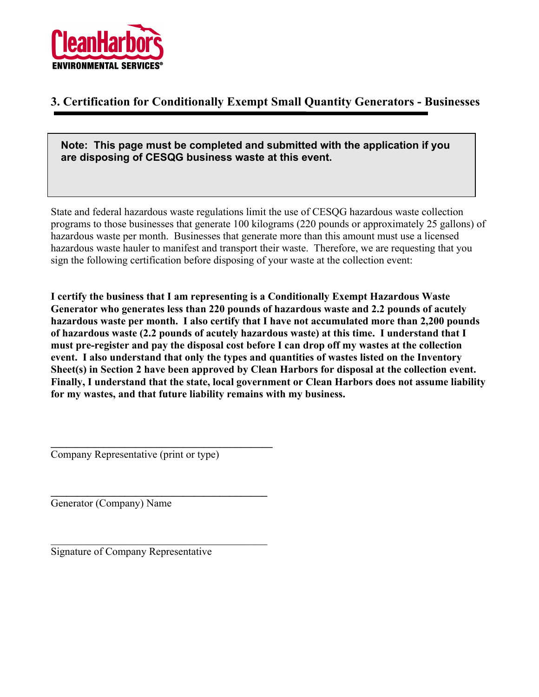

#### **3. Certification for Conditionally Exempt Small Quantity Generators - Businesses**

**Note: This page must be completed and submitted with the application if you are disposing of CESQG business waste at this event.**

State and federal hazardous waste regulations limit the use of CESQG hazardous waste collection programs to those businesses that generate 100 kilograms (220 pounds or approximately 25 gallons) of hazardous waste per month. Businesses that generate more than this amount must use a licensed hazardous waste hauler to manifest and transport their waste. Therefore, we are requesting that you sign the following certification before disposing of your waste at the collection event:

**I certify the business that I am representing is a Conditionally Exempt Hazardous Waste Generator who generates less than 220 pounds of hazardous waste and 2.2 pounds of acutely hazardous waste per month. I also certify that I have not accumulated more than 2,200 pounds of hazardous waste (2.2 pounds of acutely hazardous waste) at this time. I understand that I must pre-register and pay the disposal cost before I can drop off my wastes at the collection event. I also understand that only the types and quantities of wastes listed on the Inventory Sheet(s) in Section 2 have been approved by Clean Harbors for disposal at the collection event. Finally, I understand that the state, local government or Clean Harbors does not assume liability for my wastes, and that future liability remains with my business.**

Company Representative (print or type)

**\_\_\_\_\_\_\_\_\_\_\_\_\_\_\_\_\_\_\_\_\_\_\_\_\_\_\_\_\_\_\_\_\_\_\_\_\_\_\_\_\_\_**

**\_\_\_\_\_\_\_\_\_\_\_\_\_\_\_\_\_\_\_\_\_\_\_\_\_\_\_\_\_\_\_\_\_\_\_\_\_\_\_\_\_**

Generator (Company) Name

Signature of Company Representative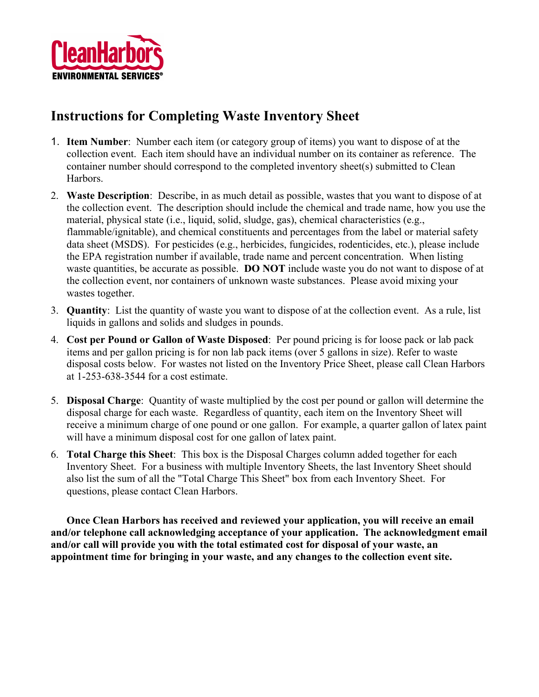

# **Instructions for Completing Waste Inventory Sheet**

- 1. **Item Number**: Number each item (or category group of items) you want to dispose of at the collection event. Each item should have an individual number on its container as reference. The container number should correspond to the completed inventory sheet(s) submitted to Clean Harbors.
- 2. **Waste Description**: Describe, in as much detail as possible, wastes that you want to dispose of at the collection event. The description should include the chemical and trade name, how you use the material, physical state (i.e., liquid, solid, sludge, gas), chemical characteristics (e.g., flammable/ignitable), and chemical constituents and percentages from the label or material safety data sheet (MSDS). For pesticides (e.g., herbicides, fungicides, rodenticides, etc.), please include the EPA registration number if available, trade name and percent concentration. When listing waste quantities, be accurate as possible. **DO NOT** include waste you do not want to dispose of at the collection event, nor containers of unknown waste substances. Please avoid mixing your wastes together.
- 3. **Quantity**: List the quantity of waste you want to dispose of at the collection event. As a rule, list liquids in gallons and solids and sludges in pounds.
- 4. **Cost per Pound or Gallon of Waste Disposed**: Per pound pricing is for loose pack or lab pack items and per gallon pricing is for non lab pack items (over 5 gallons in size). Refer to waste disposal costs below. For wastes not listed on the Inventory Price Sheet, please call Clean Harbors at 1-253-638-3544 for a cost estimate.
- 5. **Disposal Charge**: Quantity of waste multiplied by the cost per pound or gallon will determine the disposal charge for each waste. Regardless of quantity, each item on the Inventory Sheet will receive a minimum charge of one pound or one gallon. For example, a quarter gallon of latex paint will have a minimum disposal cost for one gallon of latex paint.
- 6. **Total Charge this Sheet**: This box is the Disposal Charges column added together for each Inventory Sheet. For a business with multiple Inventory Sheets, the last Inventory Sheet should also list the sum of all the "Total Charge This Sheet" box from each Inventory Sheet. For questions, please contact Clean Harbors.

**Once Clean Harbors has received and reviewed your application, you will receive an email and/or telephone call acknowledging acceptance of your application. The acknowledgment email and/or call will provide you with the total estimated cost for disposal of your waste, an appointment time for bringing in your waste, and any changes to the collection event site.**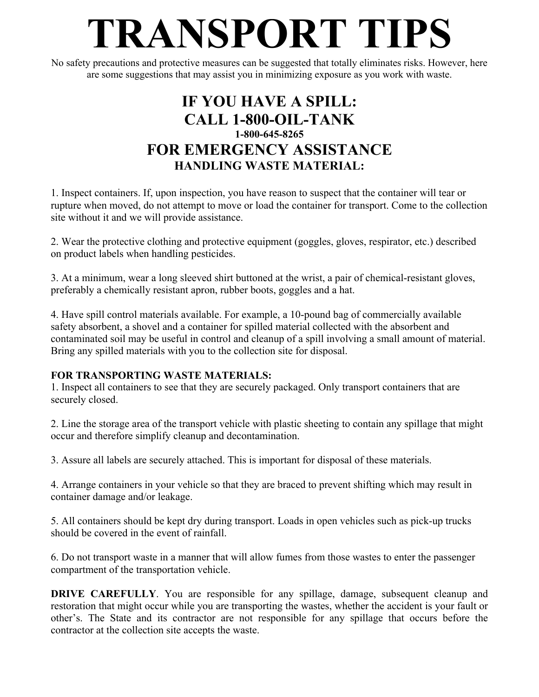# **TRANSPORT TIPS**

No safety precautions and protective measures can be suggested that totally eliminates risks. However, here are some suggestions that may assist you in minimizing exposure as you work with waste.

## **IF YOU HAVE A SPILL: CALL 1-800-OIL-TANK 1-800-645-8265 FOR EMERGENCY ASSISTANCE HANDLING WASTE MATERIAL:**

1. Inspect containers. If, upon inspection, you have reason to suspect that the container will tear or rupture when moved, do not attempt to move or load the container for transport. Come to the collection site without it and we will provide assistance.

2. Wear the protective clothing and protective equipment (goggles, gloves, respirator, etc.) described on product labels when handling pesticides.

3. At a minimum, wear a long sleeved shirt buttoned at the wrist, a pair of chemical-resistant gloves, preferably a chemically resistant apron, rubber boots, goggles and a hat.

4. Have spill control materials available. For example, a 10-pound bag of commercially available safety absorbent, a shovel and a container for spilled material collected with the absorbent and contaminated soil may be useful in control and cleanup of a spill involving a small amount of material. Bring any spilled materials with you to the collection site for disposal.

#### **FOR TRANSPORTING WASTE MATERIALS:**

1. Inspect all containers to see that they are securely packaged. Only transport containers that are securely closed.

2. Line the storage area of the transport vehicle with plastic sheeting to contain any spillage that might occur and therefore simplify cleanup and decontamination.

3. Assure all labels are securely attached. This is important for disposal of these materials.

4. Arrange containers in your vehicle so that they are braced to prevent shifting which may result in container damage and/or leakage.

5. All containers should be kept dry during transport. Loads in open vehicles such as pick-up trucks should be covered in the event of rainfall.

6. Do not transport waste in a manner that will allow fumes from those wastes to enter the passenger compartment of the transportation vehicle.

**DRIVE CAREFULLY**. You are responsible for any spillage, damage, subsequent cleanup and restoration that might occur while you are transporting the wastes, whether the accident is your fault or other's. The State and its contractor are not responsible for any spillage that occurs before the contractor at the collection site accepts the waste.